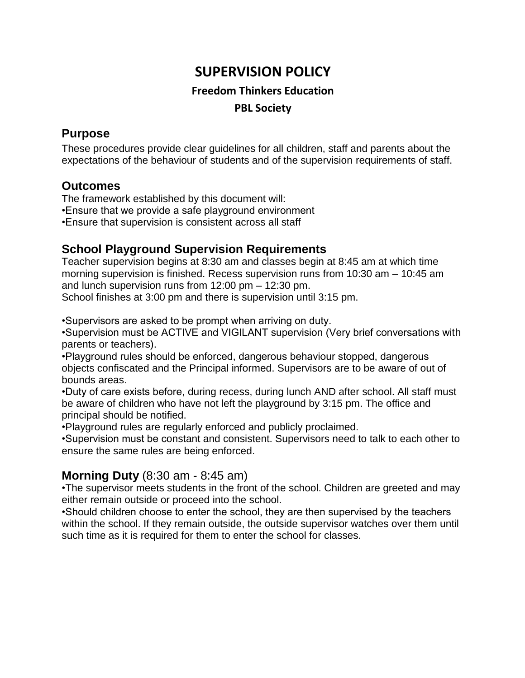# **SUPERVISION POLICY**

### **Freedom Thinkers Education PBL Society**

#### **Purpose**

These procedures provide clear guidelines for all children, staff and parents about the expectations of the behaviour of students and of the supervision requirements of staff.

#### **Outcomes**

The framework established by this document will: •Ensure that we provide a safe playground environment •Ensure that supervision is consistent across all staff

## **School Playground Supervision Requirements**

Teacher supervision begins at 8:30 am and classes begin at 8:45 am at which time morning supervision is finished. Recess supervision runs from 10:30 am – 10:45 am and lunch supervision runs from 12:00 pm – 12:30 pm.

School finishes at 3:00 pm and there is supervision until 3:15 pm.

•Supervisors are asked to be prompt when arriving on duty.

•Supervision must be ACTIVE and VIGILANT supervision (Very brief conversations with parents or teachers).

•Playground rules should be enforced, dangerous behaviour stopped, dangerous objects confiscated and the Principal informed. Supervisors are to be aware of out of bounds areas.

•Duty of care exists before, during recess, during lunch AND after school. All staff must be aware of children who have not left the playground by 3:15 pm. The office and principal should be notified.

•Playground rules are regularly enforced and publicly proclaimed.

•Supervision must be constant and consistent. Supervisors need to talk to each other to ensure the same rules are being enforced.

## **Morning Duty** (8:30 am - 8:45 am)

•The supervisor meets students in the front of the school. Children are greeted and may either remain outside or proceed into the school.

•Should children choose to enter the school, they are then supervised by the teachers within the school. If they remain outside, the outside supervisor watches over them until such time as it is required for them to enter the school for classes.